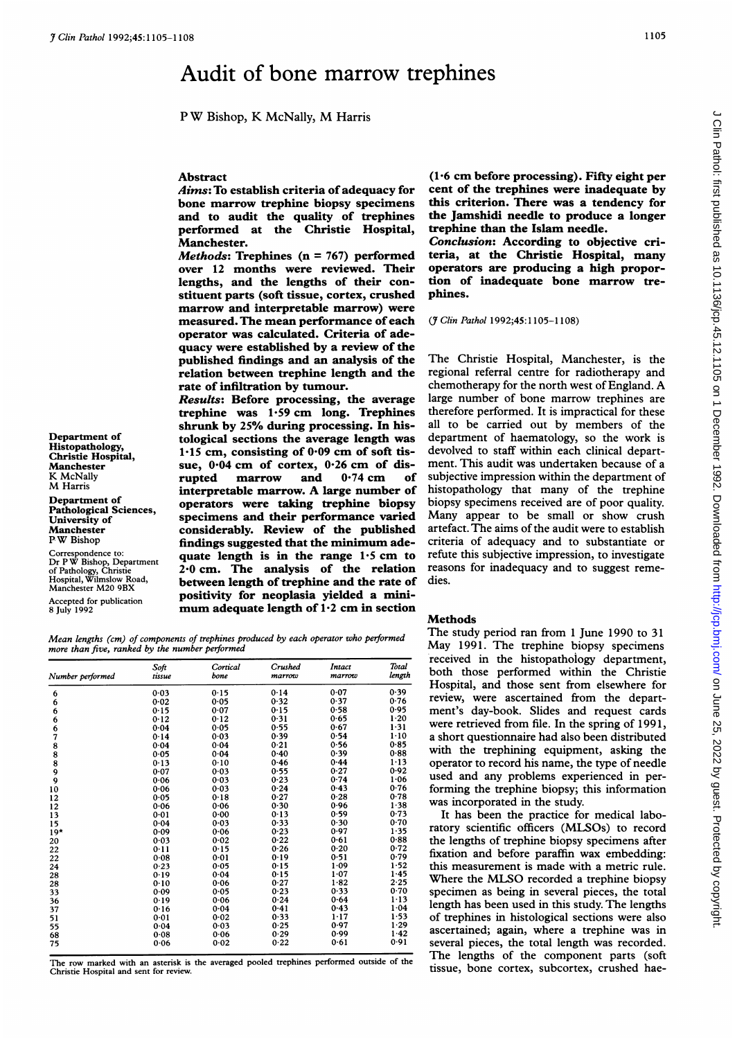# Audit of bone marrow trephines

<sup>P</sup> W Bishop, K McNally, M Harris

## Abstract

Aims: To establish criteria of adequacy for bone marrow trephine biopsy specimens and to audit the quality of trephines performed at the Christie Hospital, Manchester.

*Methods:* Trephines  $(n = 767)$  performed over 12 months were reviewed. Their lengths, and the lengths of their constituent parts (soft tissue, cortex, crushed marrow and interpretable marrow) were measured. The mean performance of each operator was calculated. Criteria of adequacy were established by a review of the published findings and an analysis of the relation between trephine length and the rate of infiltration by tumour.

Results: Before processing, the average trephine was  $1.59$  cm long. Trephines shrunk by 25% during processing. In his-Department of tological sections the average length was<br>Histopathology,  $1.15 \, \text{cm}$  consisting of 0.09 cm of soft tis- $H$ istopathology,<br>Christie Hospital, land 1.15 cm, consisting of 0.09 cm of soft tis-Manchester sue, 0.04 cm of cortex, 0.26 cm of dis-<br>
KMcNally **Example in the supplying supplying the correct of the cortex** supplying the correct of the correct of the correct of the correct of the correct of the correct o interpretable marrow. A large number of Department of operators were taking trephine biopsy r amongtcal Sciences,<br>
University of the published<br>
Manchester **considerably.** Review of the published Manchester **considerably. Review of the published**<br>PW Bishop **considerably. Review of the published** findings suggested that the minimum adequate length is in the range  $1.5$  cm to 2.0 cm. The analysis of the relation between length of trephine and the rate of  $A_{\text{A}}$ <br>Accepted for publication **positivity for neoplasia yielded a mini-**<br> $A_{\text{D}}$  and  $B_{\text{D}}$  is a might of 1.2 cm in section mum adequate length of  $1.2$  cm in section

K McNally<br>M Harris

Correspondence to:<br>
Dr P W Bishop, Department<br>
of Pathology, Christie<br>
Hospital, Wilmslow Road, Manchester M20 9BX

Mean lengths (cm) of components of trephines produced by each operator who performed more than five, ranked by the number performed

| Number performed                      | Soft<br>tissue | Cortical<br>bone | Crushed<br>marrow | Intact<br>marrow | <b>Total</b><br>length |
|---------------------------------------|----------------|------------------|-------------------|------------------|------------------------|
| 6                                     | 0.03           | 0.15             | 0.14              | 0.07             | 0.39                   |
| 6                                     | 0.02           | 0.05             | 0.32              | 0.37             | 0.76                   |
| 6                                     | 0.15           | 0.07             | 0.15              | 0.58             | 0.95                   |
| 6                                     | 0.12           | 0.12             | 0.31              | 0.65             | $1 - 20$               |
| 6                                     | 0.04           | 0.05             | 0.55              | 0.67             | $1 - 31$               |
| 7                                     | 0.14           | 0.03             | 0.39              | 0.54             | $1-10$                 |
| 8                                     | 0.04           | 0.04             | 0.21              | 0.56             | 0.85                   |
| $\begin{array}{c} 8 \\ 8 \end{array}$ | 0.05           | 0.04             | 0.40              | 0.39             | 0.88                   |
|                                       | 0.13           | 0.10             | 0.46              | 0.44             | $1 - 13$               |
| 9                                     | 0.07           | 0.03             | 0.55              | 0.27             | 0.92                   |
| 9                                     | 0.06           | 0.03             | 0.23              | 0.74             | $1 - 06$               |
| 10                                    | 0.06           | 0.03             | 0.24              | 0.43             | 0.76                   |
| 12                                    | 0.05           | 0.18             | 0.27              | 0.28             | 0.78                   |
| 12                                    | 0.06           | 0.06             | 0.30              | 0.96             | 1.38                   |
| 13                                    | 0.01           | 0.00             | 0.13              | 0.59             | 0.73                   |
| 15                                    | 0.04           | 0.03             | 0.33              | 0.30             | 0.70                   |
| $19*$                                 | 0.09           | 0.06             | 0.23              | 0.97             | 1.35                   |
| 20                                    | 0.03           | 0.02             | 0.22              | 0.61             | 0.88                   |
| 22                                    | 0.11           | 0.15             | 0.26              | 0.20             | 0.72                   |
| 22                                    | 0.08           | 0.01             | 0.19              | 0.51             | 0.79                   |
| 24                                    | 0.23           | 0.05             | 0.15              | 1.09             | 1.52                   |
| 28                                    | 0.19           | 0.04             | 0.15              | 1.07             | 1.45                   |
| 28                                    | 0.10           | 0.06             | 0.27              | 1.82             | 2.25                   |
| 33                                    | 0.09           | 0.05             | 0.23              | 0.33             | 0.70                   |
| 36                                    | 0.19           | 0.06             | 0.24              | 0.64             | $1 - 13$               |
| 37                                    | 0.16           | 0.04             | 0.41              | 0.43             | 1.04                   |
| 51                                    | 0.01           | 0.02             | 0.33              | $1 - 17$         | 1.53                   |
| 55                                    | 0.04           | 0.03             | 0.25              | 0.97             | 1.29                   |
| 68                                    | 0.08           | 0.06             | 0.29              | 0.99             | 1.42                   |
| 75                                    | 0.06           | 0.02             | 0.22              | 0.61             | 0.91                   |

The row marked with an asterisk is the averaged pooled trephines performed outside of the Christie Hospital and sent for review.

(1.6 cm before processing). Fifty eight per cent of the trephines were inadequate by this criterion. There was a tendency for the Jamshidi needle to produce a longer trephine than the Islam needle.

Conclusion: According to objective criteria, at the Christie Hospital, many operators are producing a high proportion of inadequate bone marrow trephines.

(7 Clin Pathol 1992;45:1105-1108)

The Christie Hospital, Manchester, is the regional referral centre for radiotherapy and chemotherapy for the north west of England. A large number of bone marrow trephines are therefore performed. It is impractical for these all to be carried out by members of the department of haematology, so the work is devolved to staff within each clinical department. This audit was undertaken because of a subjective impression within the department of histopathology that many of the trephine biopsy specimens received are of poor quality. Many appear to be small or show crush artefact. The aims of the audit were to establish criteria of adequacy and to substantiate or refute this subjective impression, to investigate reasons for inadequacy and to suggest remedies.

#### Methods

The study period ran from <sup>1</sup> June 1990 to 31 May 1991. The trephine biopsy specimens received in the histopathology department, both those performed within the Christie Hospital, and those sent from elsewhere for review, were ascertained from the department's day-book. Slides and request cards were retrieved from file. In the spring of 1991, a short questionnaire had also been distributed with the trephining equipment, asking the operator to record his name, the type of needle used and any problems experienced in performing the trephine biopsy; this information was incorporated in the study.

It has been the practice for medical laboratory scientific officers (MLSOs) to record the lengths of trephine biopsy specimens after fixation and before paraffin wax embedding: this measurement is made with a metric rule. Where the MLSO recorded <sup>a</sup> trephine biopsy specimen as being in several pieces, the total length has been used in this study. The lengths of trephines in histological sections were also ascertained; again, where a trephine was in several pieces, the total length was recorded. The lengths of the component parts (soft tissue, bone cortex, subcortex, crushed hae-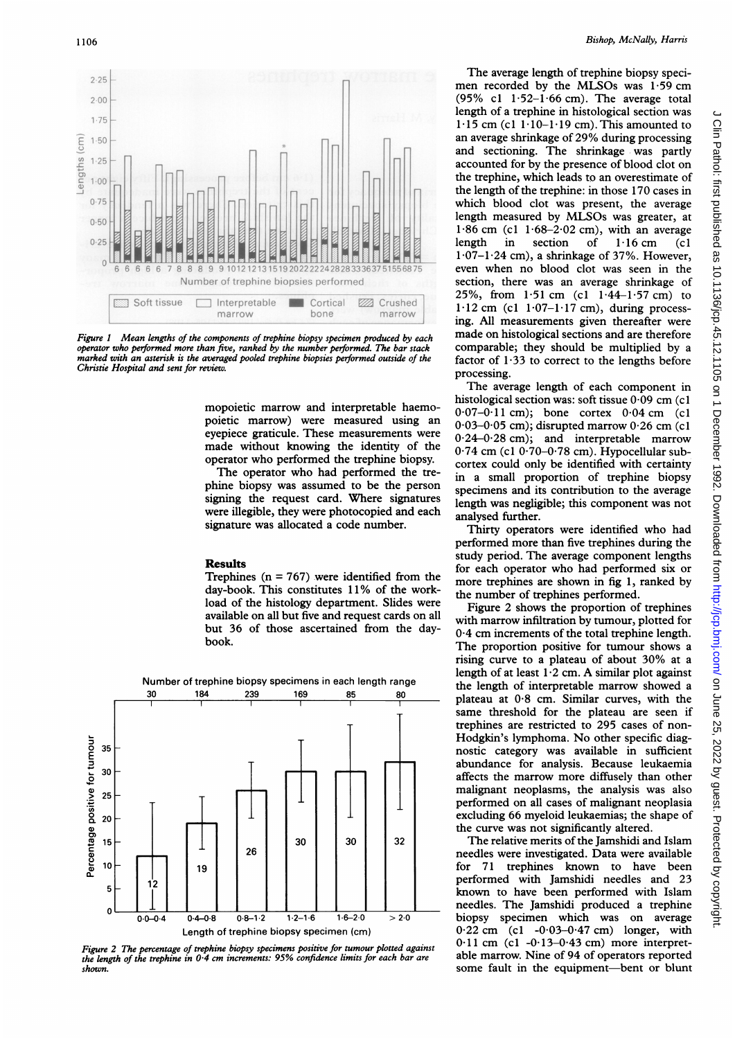

Figure 1 Mean lengths of the components of trephine biopsy specimen produced by each operator who performed more than five, ranked by the number performed. The bar stack marked with an asterisk is the averaged pooled trephine biopsies performed outside of the Christie Hospital and sent for review.

mopoietic marrow and interpretable haemopoietic marrow) were measured using an eyepiece graticule. These measurements were made without knowing the identity of the operator who performed the trephine biopsy.

The operator who had performed the trephine biopsy was assumed to be the person signing the request card. Where signatures were illegible, they were photocopied and each signature was allocated <sup>a</sup> code number.

### Results

Trephines ( $n = 767$ ) were identified from the day-book. This constitutes 11% of the workload of the histology department. Slides were available on all but five and request cards on all but 36 of those ascertained from the daybook.



Figure 2 The percentage of trephine biopsy specimens positive for tumour plotted against the length of the trephine in  $0.4$  cm increments: 95% confidence limits for each bar are shown.

The average length of trephine biopsy specimen recorded by the MLSOs was  $1.59$  cm (95% cl  $1.52-1.66$  cm). The average total length of a trephine in histological section was  $1.15$  cm (c1  $1.10-1.19$  cm). This amounted to an average shrinkage of 29% during processing and sectioning. The shrinkage was partly accounted for by the presence of blood clot on the trephine, which leads to an overestimate of the length of the trephine: in those 170 cases in which blood clot was present, the average length measured by MLSOs was greater, at 1.86 cm (c1  $1.68-2.02$  cm), with an average<br>length in section of  $1.16$  cm (c1 in section of  $1 \cdot 16$  cm (c1)  $1.07-1.24$  cm), a shrinkage of 37%. However, even when no blood clot was seen in the section, there was an average shrinkage of 25%, from  $1.51$  cm (c1  $1.44-1.57$  cm) to  $1.12$  cm (cl  $1.07-1.17$  cm), during processing. All measurements given thereafter were made on histological sections and are therefore comparable; they should be multiplied by a factor of  $1.33$  to correct to the lengths before processing.

The average length of each component in histological section was: soft tissue 0.09 cm (c1  $0.07-0.11$  cm); bone cortex  $0.04$  cm (c1)  $0.03-0.05$  cm); disrupted marrow  $0.26$  cm (c1 0.24-0.28 cm); and interpretable marrow 0.74 cm (c1 0.70-0.78 cm). Hypocellular subcortex could only be identified with certainty in a small proportion of trephine biopsy specimens and its contribution to the average length was negligible; this component was not analysed further.

Thirty operators were identified who had performed more than five trephines during the study period. The average component lengths for each operator who had performed six or more trephines are shown in fig 1, ranked by the number of trephines performed.

Figure 2 shows the proportion of trephines with marrow infiltration by tumour, plotted for 0-4 cm increments of the total trephine length. The proportion positive for tumour shows a rising curve to <sup>a</sup> plateau of about 30% at <sup>a</sup> length of at least  $1.2$  cm. A similar plot against the length of interpretable marrow showed a plateau at  $0.8$  cm. Similar curves, with the same threshold for the plateau are seen if trephines are restricted to 295 cases of non-Hodgkin's lymphoma. No other specific diagnostic category was available in sufficient abundance for analysis. Because leukaemia affects the marrow more diffusely than other malignant neoplasms, the analysis was also performed on all cases of malignant neoplasia excluding 66 myeloid leukaemias; the shape of the curve was not significantly altered.

The relative merits of the Jamshidi and Islam needles were investigated. Data were available for 71 trephines known to have been performed with Jamshidi needles and 23 known to have been performed with Islam needles. The Jamshidi produced a trephine biopsy specimen which was on average  $0.22$  cm (cl  $-0.03-0.47$  cm) longer, with  $0.11$  cm (c1 -0.13-0.43 cm) more interpretable marrow. Nine of 94 of operators reported some fault in the equipment-bent or blunt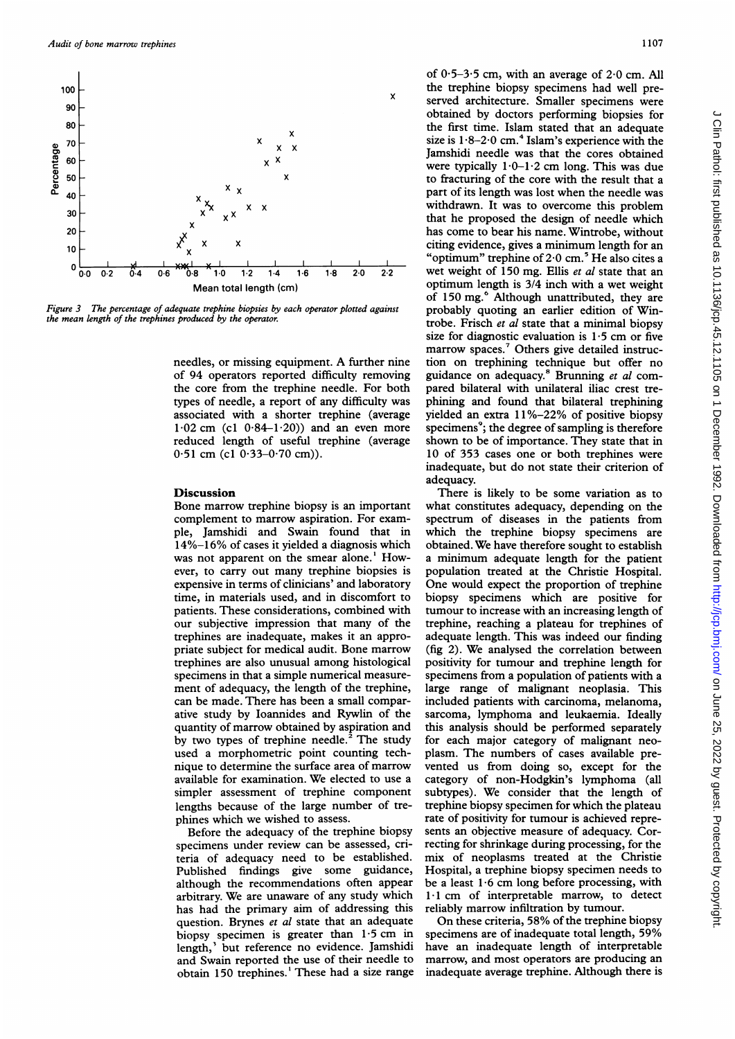

Figure 3 The percentage of adequate trephine biopsies by each operator plotted against the mean length of the trephines produced by the operator.

needles, or missing equipment. A further nine of 94 operators reported difficulty removing the core from the trephine needle. For both types of needle, a report of any difficulty was associated with a shorter trephine (average  $1.02$  cm (c1  $0.84-1.20$ )) and an even more reduced length of useful trephine (average  $0.51$  cm (c1  $0.33 - 0.70$  cm)).

#### **Discussion**

Bone marrow trephine biopsy is an important complement to marrow aspiration. For example, Jamshidi and Swain found that in 14%-16% of cases it yielded a diagnosis which was not apparent on the smear alone.<sup>1</sup> However, to carry out many trephine biopsies is expensive in terms of clinicians' and laboratory time, in materials used, and in discomfort to patients. These considerations, combined with our subjective impression that many of the trephines are inadequate, makes it an appropriate subject for medical audit. Bone marrow trephines are also unusual among histological specimens in that a simple numerical measurement of adequacy, the length of the trephine, can be made. There has been a small comparative study by Ioannides and Rywlin of the quantity of marrow obtained by aspiration and by two types of trephine needle.<sup>2</sup> The study used a morphometric point counting technique to determine the surface area of marrow available for examination. We elected to use a simpler assessment of trephine component lengths because of the large number of trephines which we wished to assess.

Before the adequacy of the trephine biopsy specimens under review can be assessed, criteria of adequacy need to be established. Publish h although the recommendations often appear arbitrary. We are unaware of any study which although the recommendations often appear be a least  $1.6$  cm long before processin<br>arbitrary. We are unaware of any study which  $1.1$  cm of interpretable marrow, to<br>has had the primary aim of addressing this reliably mar question. Brynes et al state that an adequate On these criteria, 58% of the trephine biopsy biopsy specimen is greater than  $1.5$  cm in length,<sup>3</sup> but reference no evidence. Jamshidi and Swain reported the use of their needle to obtain 150 trephines.<sup>1</sup> These had a size range

of  $0.5-3.5$  cm, with an average of  $2.0$  cm. All the trephine biopsy specimens had well pre<sup>x</sup> served architecture. Smaller specimens were obtained by doctors performing biopsies for the first time. Islam stated that an adequate size is  $1.8-2.0$  cm.<sup>4</sup> Islam's experience with the Jamshidi needle was that the cores obtained were typically  $1 \cdot 0 - 1 \cdot 2$  cm long. This was due to fracturing of the core with the result that <sup>a</sup> part of its length was lost when the needle was withdrawn. It was to overcome this problem that he proposed the design of needle which has come to bear his name. Wintrobe, without citing evidence, gives a minimum length for an "optimum" trephine of  $2.0 \text{ cm.}^5$  He also cites a  $\frac{10}{12}$  1.2 1.4 1.6 1.8 2.0 2.2 wet weight of 150 mg. Ellis *et al* state that an optimum length is  $\frac{3}{4}$  inch with a wet weight of 150 mg.<sup>6</sup> Although unattributed, they are probably quoting an earlier edition of Wintrobe. Frisch et al state that a minimal biopsy size for diagnostic evaluation is  $1.5$  cm or five marrow spaces.<sup>7</sup> Others give detailed instruction on trephining technique but offer no guidance on adequacy.<sup>8</sup> Brunning et al compared bilateral with unilateral iliac crest trephining and found that bilateral trephining yielded an extra  $11\% - 22\%$  of positive biopsy specimens<sup>9</sup>; the degree of sampling is therefore shown to be of importance. They state that in 10 of 353 cases one or both trephines were inadequate, but do not state their criterion of adequacy.

> There is likely to be some variation as to what constitutes adequacy, depending on the spectrum of diseases in the patients from which the trephine biopsy specimens are obtained. We have therefore sought to establish a minimum adequate length for the patient population treated at the Christie Hospital. One would expect the proportion of trephine biopsy specimens which are positive for tumour to increase with an increasing length of trephine, reaching a plateau for trephines of adequate length. This was indeed our finding (fig 2). We analysed the correlation between positivity for tumour and trephine length for specimens from a population of patients with a large range of malignant neoplasia. This included patients with carcinoma, melanoma, sarcoma, lymphoma and leukaemia. Ideally this analysis should be performed separately for each major category of malignant neoplasm. The numbers of cases available prevented us from doing so, except for the category of non-Hodgkin's lymphoma (all subtypes). We consider that the length of trephine biopsy specimen for which the plateau rate of positivity for tumour is achieved represents an objective measure of adequacy. Correcting for shrinkage during processing, for the mix of neoplasms treated at the Christie Hospital, a trephine biopsy specimen needs to be a least  $1.6$  cm long before processing, with 1.1 cm of interpretable marrow, to detect reliably marrow infiltration by tumour.

On these criteria, 58% of the trephine biopsy specimens are of inadequate total length, 59% estion. Brynes *et al* state that an adequate On these criteria, 58% of the trephine biopsy<br>popy specimen is greater than 1.5 cm in specimens are of inadequate total length, 59%<br>gth,<sup>3</sup> but reference no evidence. Jamshidi opsy specimen is greater than 1.5 cm in specimens are of inadequate total length, 59% origin,<sup>3</sup> but reference no evidence. Jamshidi have an inadequate length of interpretable do Swain reported the use of their needle to m inadequate average trephine. Although there is